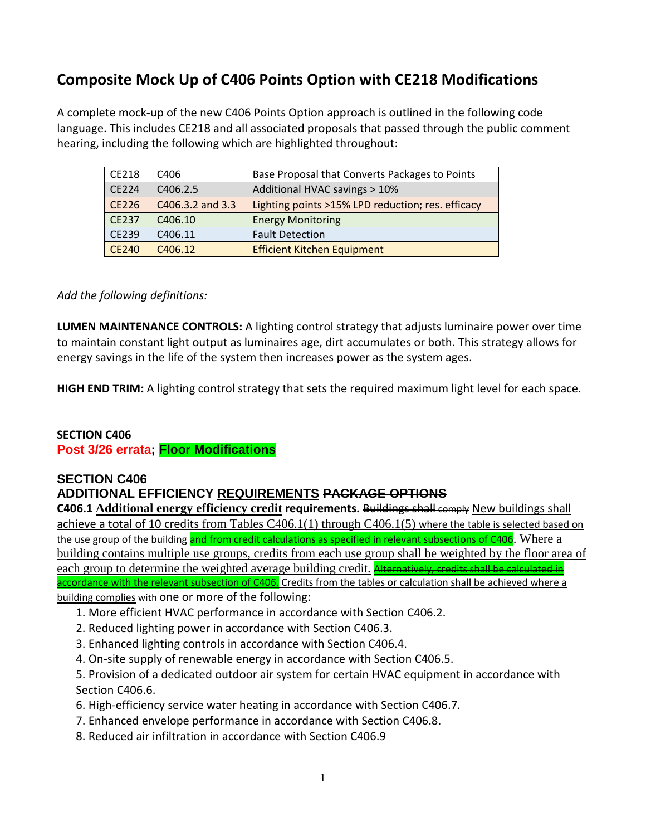### **Composite Mock Up of C406 Points Option with CE218 Modifications**

A complete mock-up of the new C406 Points Option approach is outlined in the following code language. This includes CE218 and all associated proposals that passed through the public comment hearing, including the following which are highlighted throughout:

| CE218        | C <sub>406</sub>     | Base Proposal that Converts Packages to Points    |
|--------------|----------------------|---------------------------------------------------|
| <b>CE224</b> | C406.2.5             | Additional HVAC savings > 10%                     |
| CE226        | C406.3.2 and 3.3     | Lighting points >15% LPD reduction; res. efficacy |
| <b>CE237</b> | C406.10              | <b>Energy Monitoring</b>                          |
| CE239        | C406.11              | <b>Fault Detection</b>                            |
| <b>CE240</b> | C <sub>4</sub> 06.12 | <b>Efficient Kitchen Equipment</b>                |

#### *Add the following definitions:*

**LUMEN MAINTENANCE CONTROLS:** A lighting control strategy that adjusts luminaire power over time to maintain constant light output as luminaires age, dirt accumulates or both. This strategy allows for energy savings in the life of the system then increases power as the system ages.

**HIGH END TRIM:** A lighting control strategy that sets the required maximum light level for each space.

#### **SECTION C406 Post 3/26 errata; Floor Modifications**

#### **SECTION C406**

#### **ADDITIONAL EFFICIENCY REQUIREMENTS PACKAGE OPTIONS**

**C406.1 Additional energy efficiency credit requirements.** Buildings shall comply New buildings shall achieve a total of 10 credits from Tables C406.1(1) through C406.1(5) where the table is selected based on the use group of the building and from credit calculations as specified in relevant subsections of C406. Where a building contains multiple use groups, credits from each use group shall be weighted by the floor area of each group to determine the weighted average building credit. Alternatively, credits shall be calculated in accordance with the relevant subsection of C406. Credits from the tables or calculation shall be achieved where a

building complies with one or more of the following:

- 1. More efficient HVAC performance in accordance with Section C406.2.
- 2. Reduced lighting power in accordance with Section C406.3.
- 3. Enhanced lighting controls in accordance with Section C406.4.
- 4. On-site supply of renewable energy in accordance with Section C406.5.
- 5. Provision of a dedicated outdoor air system for certain HVAC equipment in accordance with Section C406.6.
- 6. High-efficiency service water heating in accordance with Section C406.7.
- 7. Enhanced envelope performance in accordance with Section C406.8.
- 8. Reduced air infiltration in accordance with Section C406.9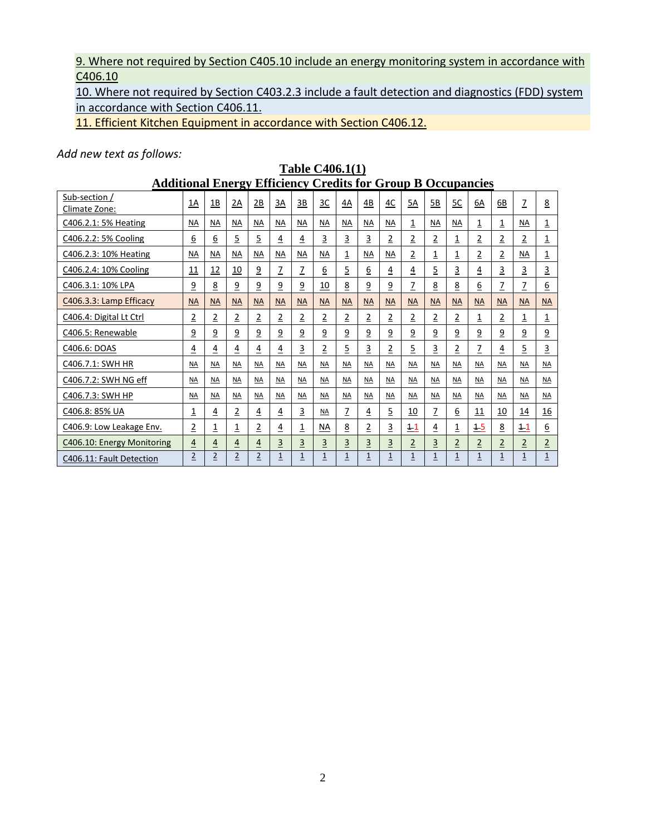#### 9. Where not required by Section C405.10 include an energy monitoring system in accordance with C406.10

10. Where not required by Section C403.2.3 include a fault detection and diagnostics (FDD) system in accordance with Section C406.11.

11. Efficient Kitchen Equipment in accordance with Section C406.12.

#### *Add new text as follows:*

| <b>Table C406.1(1)</b>                                              |                |                |                |                |                |                |                 |                |                |                         |                |                |                |                |                |                |                |
|---------------------------------------------------------------------|----------------|----------------|----------------|----------------|----------------|----------------|-----------------|----------------|----------------|-------------------------|----------------|----------------|----------------|----------------|----------------|----------------|----------------|
| <b>Additional Energy Efficiency Credits for Group B Occupancies</b> |                |                |                |                |                |                |                 |                |                |                         |                |                |                |                |                |                |                |
| Sub-section /<br>Climate Zone:                                      | 1A             | 1B             | 2A             | 2B             | 3A             | 3B             | $rac{3C}{2}$    | 4A             | 4B             | 4C                      | 5A             | 5B             | <u>5C</u>      | 6A             | 6B             | $\overline{1}$ | 8              |
| C406.2.1: 5% Heating                                                | NA             | <b>NA</b>      | NA             | NA             | NA             | <b>NA</b>      | ΝA              | ΝA             | NA             | NA                      | $\overline{1}$ | NA             | <b>NA</b>      | $\overline{1}$ | $\overline{1}$ | ΝA             | $\overline{1}$ |
| C406.2.2: 5% Cooling                                                | 6              | <u>6</u>       | $\overline{5}$ | $\overline{5}$ | 4              | 4              | 3               | 3              | 3              | $\overline{2}$          | 2              | $\overline{2}$ | <u>1</u>       | 2              | $\overline{2}$ | $\overline{2}$ | 1              |
| C406.2.3: 10% Heating                                               | <b>NA</b>      | <b>NA</b>      | <b>NA</b>      | <b>NA</b>      | <b>NA</b>      | <b>NA</b>      | <b>NA</b>       | 1              | <b>NA</b>      | <b>NA</b>               | 2              | 1              | 1              | 2              | $\overline{2}$ | ΝA             | 1              |
| C406.2.4: 10% Cooling                                               | <u> 11</u>     | 12             | <u>10</u>      | $\overline{9}$ | $\overline{1}$ | $\overline{1}$ | $\underline{6}$ | $\overline{5}$ | <u>6</u>       | $\overline{4}$          | $\overline{4}$ | $\overline{5}$ | $\overline{3}$ | $\overline{4}$ | $\overline{3}$ | $\overline{3}$ | $\overline{3}$ |
| C406.3.1: 10% LPA                                                   | <u>9</u>       | <u>8</u>       | <u>9</u>       | <u>9</u>       | <u>9</u>       | $\overline{9}$ | 10              | <u>8</u>       | <u>9</u>       | <u>9</u>                | 7              | 8              | <u>8</u>       | 6              | Z              | Z              | <u>6</u>       |
| C406.3.3: Lamp Efficacy                                             | <b>NA</b>      | <b>NA</b>      | <b>NA</b>      | <b>NA</b>      | <b>NA</b>      | <b>NA</b>      | <b>NA</b>       | <b>NA</b>      | <b>NA</b>      | <b>NA</b>               | <b>NA</b>      | <b>NA</b>      | <b>NA</b>      | <b>NA</b>      | <b>NA</b>      | <b>NA</b>      | <b>NA</b>      |
| C406.4: Digital Lt Ctrl                                             | $\overline{2}$ | $\overline{2}$ | $\overline{2}$ | $\overline{2}$ | $\overline{2}$ | $\overline{2}$ | 2               | $\overline{2}$ | $\overline{2}$ | $\overline{2}$          | $\overline{2}$ | $\overline{2}$ | $\overline{2}$ | 1              | $\overline{2}$ | 1              | 1              |
| C406.5: Renewable                                                   | $\overline{9}$ | $\overline{9}$ | $\overline{9}$ | $\overline{9}$ | $\overline{a}$ | $\overline{9}$ | $\overline{9}$  | $\overline{9}$ | $\overline{9}$ | $\overline{9}$          | <u>9</u>       | $\overline{9}$ | $\overline{9}$ | $\overline{9}$ | $\overline{9}$ | $\overline{9}$ | $\overline{9}$ |
| C406.6: DOAS                                                        | <u>4</u>       | 4              | 4              | <u>4</u>       | $\overline{4}$ | 3              | 2               | 5              | $\overline{3}$ | $\overline{2}$          | 5              | 3              | $\overline{2}$ | 7              | 4              | $\overline{5}$ | 3              |
| C406.7.1: SWH HR                                                    | <b>NA</b>      | <b>NA</b>      | <b>NA</b>      | <b>NA</b>      | <b>NA</b>      | <b>NA</b>      | <b>NA</b>       | <b>NA</b>      | NA             | <b>NA</b>               | <b>NA</b>      | <b>NA</b>      | <b>NA</b>      | NA             | <b>NA</b>      | <b>NA</b>      | <b>NA</b>      |
| C406.7.2: SWH NG eff                                                | <b>NA</b>      | <b>NA</b>      | <b>NA</b>      | <b>NA</b>      | <b>NA</b>      | <b>NA</b>      | <b>NA</b>       | <b>NA</b>      | <b>NA</b>      | <b>NA</b>               | <b>NA</b>      | <b>NA</b>      | <b>NA</b>      | NA             | <b>NA</b>      | <b>NA</b>      | <b>NA</b>      |
| C406.7.3: SWH HP                                                    | $NA$           | <b>NA</b>      | <b>NA</b>      | <b>NA</b>      | <b>NA</b>      | <b>NA</b>      | <b>NA</b>       | <b>NA</b>      | <b>NA</b>      | <b>NA</b>               | <b>NA</b>      | <b>NA</b>      | <b>NA</b>      | <b>NA</b>      | $M\triangle$   | <b>NA</b>      | M <sub>A</sub> |
| C406.8: 85% UA                                                      | 1              | <u>4</u>       | 2              | <u>4</u>       | 4              | 3              | NA              | $\overline{1}$ | <u>4</u>       | 5                       | 10             | $\overline{1}$ | <u>6</u>       | 11             | <u>10</u>      | 14             | <u>16</u>      |
| C406.9: Low Leakage Env.                                            | $\overline{2}$ | 1              | 1              | $\overline{2}$ | 4              | 1              | <b>NA</b>       | 8              | $\overline{2}$ | 3                       | 11             | 4              | <u>1</u>       | $+5$           | <u>8</u>       | 11             | 6              |
| C406.10: Energy Monitoring                                          | $\overline{4}$ | $\overline{4}$ | $\overline{4}$ | $\overline{4}$ | $\overline{3}$ | $\overline{3}$ | $\overline{3}$  | $\overline{3}$ | $\overline{3}$ | $\overline{\mathbf{3}}$ | $\overline{2}$ | $\overline{3}$ | $\overline{2}$ | $\overline{2}$ | $\overline{2}$ | $\overline{2}$ | $\overline{2}$ |
| C406.11: Fault Detection                                            | $\overline{2}$ | $\overline{2}$ | $\overline{2}$ | $\overline{2}$ | $\mathbf 1$    | $1\,$          | $\mathbf 1$     | $\overline{1}$ | $\overline{1}$ | $\mathbf{1}$            | $\mathbf{1}$   | $\mathbf 1$    | $\mathbf 1$    | $\mathbf{1}$   | $\overline{1}$ | $\overline{1}$ | $\overline{1}$ |

#### 2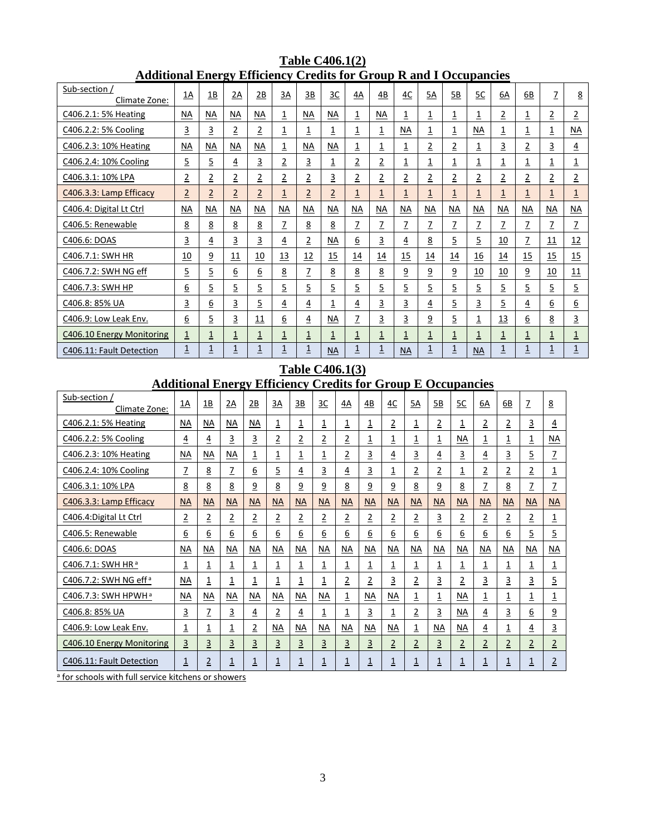| Sub-section /                                                       |                         |                         |                         |                         |                         |                         |                |                 |                         |                |                         |                |                |                |                |                |                |
|---------------------------------------------------------------------|-------------------------|-------------------------|-------------------------|-------------------------|-------------------------|-------------------------|----------------|-----------------|-------------------------|----------------|-------------------------|----------------|----------------|----------------|----------------|----------------|----------------|
| Climate Zone:                                                       | 1A                      | 1B                      | 2Α                      | 2B                      | 3A                      | 3B                      | 3C             | 4A              | 4B                      | 4C             | 5A                      | 5B             | <u>5C</u>      | 6A             | 6B             | Z              | 8              |
| C406.2.1: 5% Heating                                                | <b>NA</b>               | <b>NA</b>               | <b>NA</b>               | ΝA                      | 1                       | <b>NA</b>               | NА             | $\overline{1}$  | <b>NA</b>               | 1              | $\overline{1}$          | 1              | 1              | 2              | $\overline{1}$ | 2              | 2              |
| C406.2.2: 5% Cooling                                                | $\overline{3}$          | $\overline{3}$          | $\overline{2}$          | $\overline{2}$          | <u>1</u>                | $\overline{1}$          | 1              | $\overline{1}$  | $\overline{1}$          | NА             | $\overline{1}$          | $\overline{1}$ | NА             | <u>1</u>       | $\overline{1}$ | $\overline{1}$ | <b>NA</b>      |
| C406.2.3: 10% Heating                                               | <b>NA</b>               | <b>NA</b>               | <b>NA</b>               | <b>NA</b>               | 1                       | <b>NA</b>               | <b>NA</b>      | $\overline{1}$  | 1                       | 1              | $\overline{\mathbf{2}}$ | $\overline{2}$ | $\overline{1}$ | $\overline{3}$ | $\overline{2}$ | 3              | <u>4</u>       |
| C406.2.4: 10% Cooling                                               | 5                       | $\overline{5}$          | $\overline{4}$          | 3                       | 2                       | 3                       | $\overline{1}$ | $\overline{2}$  | $\overline{\mathbf{c}}$ | 1              | $\overline{1}$          | $\overline{1}$ | 1              | <u>1</u>       | $\overline{1}$ | $\overline{1}$ | 1              |
| C406.3.1: 10% LPA                                                   | $\overline{2}$          | $\overline{\mathbf{2}}$ | $\overline{\mathbf{2}}$ | $\overline{\mathbf{c}}$ | 2                       | $\overline{2}$          | 3              | $\overline{2}$  | $\overline{2}$          | $\overline{2}$ | $\overline{\mathbf{2}}$ | 2              | $\overline{2}$ | $\overline{2}$ | $\overline{2}$ | $\overline{2}$ | $\overline{2}$ |
| C406.3.3: Lamp Efficacy                                             | $\overline{2}$          | $\overline{2}$          | $\overline{2}$          | $\overline{2}$          | $\overline{1}$          | $\overline{2}$          | $\overline{2}$ | $\overline{1}$  | $\overline{1}$          | $\overline{1}$ | $\overline{1}$          | $\overline{1}$ | $\overline{1}$ | $\overline{1}$ | $\overline{1}$ | $\overline{1}$ | $\overline{1}$ |
| C406.4: Digital Lt Ctrl                                             | <b>NA</b>               | <b>NA</b>               | <b>NA</b>               | <b>NA</b>               | <b>NA</b>               | <b>NA</b>               | <b>NA</b>      | <b>NA</b>       | <b>NA</b>               | <b>NA</b>      | <b>NA</b>               | <b>NA</b>      | <b>NA</b>      | <b>NA</b>      | <b>NA</b>      | <b>NA</b>      | <b>NA</b>      |
| C406.5: Renewable                                                   | 8                       | 8                       | <u>8</u>                | 8                       | Z                       | 8                       | <u>8</u>       | Z               | Z                       | Z              | Z                       | Z              | Z              | Z              | Z              | Z              | Z              |
| C406.6: DOAS                                                        | $\overline{3}$          | $\overline{4}$          | 3                       | 3                       | $\overline{4}$          | $\overline{2}$          | NA             | $\underline{6}$ | 3                       | $\overline{4}$ | <u>8</u>                | 5              | $\overline{5}$ | 10             | $\overline{z}$ | 11             | 12             |
| C406.7.1: SWH HR                                                    | 10                      | $\overline{9}$          | 11                      | 10                      | 13                      | <u>12</u>               | 15             | 14              | 14                      | 15             | 14                      | 14             | 16             | 14             | 15             | 15             | 15             |
| C406.7.2: SWH NG eff                                                | $\overline{5}$          | 5                       | 6                       | 6                       | <u>8</u>                | Z                       | 8              | 8               | 8                       | $\overline{9}$ | $\overline{9}$          | <u>و</u>       | 10             | 10             | $\overline{9}$ | <u>10</u>      | 11             |
| C406.7.3: SWH HP                                                    | 6                       | 5                       | $\overline{5}$          | 5                       | 5                       | $\overline{5}$          | $\overline{5}$ | 5               | 5                       | 5              | $\overline{5}$          | $\overline{5}$ | $\overline{5}$ | $\overline{5}$ | 5              | $\overline{5}$ | $\overline{5}$ |
| C406.8: 85% UA                                                      | $\overline{3}$          | <u>6</u>                | 3                       | 5                       | $\overline{4}$          | $\overline{4}$          | <u>1</u>       | $\overline{4}$  | 3                       | 3              | $\overline{4}$          | 5              | 3              | 5              | $\overline{4}$ | <u>6</u>       | <u>6</u>       |
| C406.9: Low Leak Env.                                               | 6                       | 5                       | 3                       | 11                      | 6                       | 4                       | <b>NA</b>      | Z               | 3                       | 3              | <u>9</u>                | 5              | $\overline{1}$ | 13             | 6              | 8              | 3              |
| C406.10 Energy Monitoring                                           | $\overline{1}$          | $\overline{1}$          | 1                       | $\overline{1}$          | <u>1</u>                | <u>1</u>                | $\overline{1}$ | $\overline{1}$  | <u>1</u>                | 1              | $\overline{1}$          | 1              | <u>1</u>       | $\overline{1}$ | $\overline{1}$ | $\overline{1}$ | <u>1</u>       |
| C406.11: Fault Detection                                            | $\overline{\mathbf{1}}$ | $\overline{1}$          | 1                       | $\overline{1}$          | $\overline{\mathbf{1}}$ | $\overline{\mathbf{1}}$ | <b>NA</b>      | $\overline{1}$  | <u>1</u>                | <b>NA</b>      | $\overline{1}$          | 1              | <b>NA</b>      | $\overline{1}$ | $\overline{1}$ | 1              | $\overline{1}$ |
| <b>Table C406.1(3)</b>                                              |                         |                         |                         |                         |                         |                         |                |                 |                         |                |                         |                |                |                |                |                |                |
| <b>Additional Energy Efficiency Credits for Group E Occupancies</b> |                         |                         |                         |                         |                         |                         |                |                 |                         |                |                         |                |                |                |                |                |                |
| Sub-section /                                                       | $1\Delta$               | 1R                      | $2\Delta$               | 2R                      | $3\Delta$               | 3R                      | 3C             | ΔΔ              | $\Delta R$<br>AC        | 5Δ             | 5 <sub>R</sub>          | 5C             | 64             | 6 <sub>R</sub> | $\overline{7}$ | $\mathbf{R}$   |                |

#### **Table C406.1(2) Additional Energy Efficiency Credits for Group R and I Occupancies**

| Sub-section /<br>Climate Zone:                                                                                     | 1A                      | 1B             | 2A             | 2B                        | 3A                        | 3B             | 3C             | 4A             | 4B                        | 4C             | 5A                      | 5B             | 5C                        | 6A             | 6B             | Z                       | 8                         |
|--------------------------------------------------------------------------------------------------------------------|-------------------------|----------------|----------------|---------------------------|---------------------------|----------------|----------------|----------------|---------------------------|----------------|-------------------------|----------------|---------------------------|----------------|----------------|-------------------------|---------------------------|
| C406.2.1: 5% Heating                                                                                               | <b>NA</b>               | ΝA             | <u>NA</u>      | $\underline{\mathsf{NA}}$ | $\overline{1}$            | $\overline{1}$ | $\overline{1}$ | $\overline{1}$ | $\overline{1}$            | $\overline{2}$ | <u>1</u>                | $\overline{2}$ | $\overline{1}$            | $\overline{2}$ | $\overline{2}$ | $\overline{3}$          | $\overline{4}$            |
| C406.2.2: 5% Cooling                                                                                               | <u>4</u>                | $\overline{4}$ | $\overline{3}$ | 3                         | $\overline{2}$            | $\overline{2}$ | $\overline{2}$ | $\overline{2}$ | $\overline{1}$            | $\overline{1}$ | $\overline{1}$          | $\overline{1}$ | <b>NA</b>                 | $\overline{1}$ | $\overline{1}$ | $\overline{\mathbf{1}}$ | <b>NA</b>                 |
| C406.2.3: 10% Heating                                                                                              | <b>NA</b>               | ΝA             | NА             | 1                         | $\overline{1}$            | $\overline{1}$ | 1              | $\overline{2}$ | 3                         | <u>4</u>       | 3                       | 4              | 3                         | <u>4</u>       | 3              | $\overline{5}$          | Z                         |
| C406.2.4: 10% Cooling                                                                                              | $\overline{1}$          | <u>8</u>       | Z              | <u>6</u>                  | $\overline{5}$            | 4              | 3              | <u>4</u>       | 3                         | <u>1</u>       | $\overline{\mathbf{2}}$ | $\overline{2}$ | <u>1</u>                  | $\overline{2}$ | $\overline{2}$ | $\overline{2}$          | $\overline{1}$            |
| C406.3.1: 10% LPA                                                                                                  | <u>8</u>                | 8              | 8              | $\overline{9}$            | <u>8</u>                  | $\overline{9}$ | $\overline{9}$ | 8              | $\overline{9}$            | $\overline{9}$ | 8                       | $\overline{9}$ | 8                         | $\overline{1}$ | 8              | $\overline{1}$          | $\overline{1}$            |
| C406.3.3: Lamp Efficacy                                                                                            | <b>NA</b>               | <b>NA</b>      | <b>NA</b>      | <b>NA</b>                 | <b>NA</b>                 | <b>NA</b>      | <b>NA</b>      | <b>NA</b>      | <b>NA</b>                 | <b>NA</b>      | <b>NA</b>               | <b>NA</b>      | <b>NA</b>                 | <b>NA</b>      | <b>NA</b>      | <b>NA</b>               | <b>NA</b>                 |
| C406.4: Digital Lt Ctrl                                                                                            | 2                       | $\overline{2}$ | $\overline{2}$ | 2                         | $\overline{2}$            | 2              | $\overline{2}$ | $\overline{2}$ | $\overline{2}$            | $\overline{2}$ | 2                       | 3              | 2                         | 2              | $\overline{2}$ | $\overline{2}$          | 1                         |
| C406.5: Renewable                                                                                                  | <u>6</u>                | $6\,$          | 6              | <u>6</u>                  | 6                         | <u>6</u>       | <u>6</u>       | 6              | 6                         | <u>6</u>       | <u>6</u>                | 6              | <u>6</u>                  | <u>6</u>       | <u>6</u>       | $\overline{5}$          | $\overline{5}$            |
| C406.6: DOAS                                                                                                       | <b>NA</b>               | <b>NA</b>      | NA             | <b>NA</b>                 | <b>NA</b>                 | NA             | <b>NA</b>      | NA             | $\underline{\mathsf{NA}}$ | NA             | <b>NA</b>               | <b>NA</b>      | NA                        | NA             | <b>NA</b>      | NA                      | $\underline{\mathsf{NA}}$ |
| C406.7.1: SWH HR <sup>a</sup>                                                                                      | <u>1</u>                | $\overline{1}$ | $\overline{1}$ | $\overline{1}$            | $\overline{1}$            | $\overline{1}$ | <u>1</u>       | $\overline{1}$ | $\overline{\mathbf{1}}$   | $\overline{1}$ | $\overline{1}$          | $\overline{1}$ | $\overline{1}$            | $\overline{1}$ | $\overline{1}$ | $\overline{1}$          | $\overline{1}$            |
| C406.7.2: SWH NG eff <sup>a</sup>                                                                                  | <b>NA</b>               | 1              | 1              | 1                         | $\overline{1}$            | <u>1</u>       | 1              | $\overline{2}$ | $\overline{2}$            | 3              | $\overline{\mathbf{2}}$ | 3              | $\overline{2}$            | 3              | 3              | $\overline{3}$          | $\overline{5}$            |
| C406.7.3: SWH HPWH <sup>a</sup>                                                                                    | <b>NA</b>               | <b>NA</b>      | <b>NA</b>      | <b>NA</b>                 | $\underline{\mathsf{NA}}$ | NA             | NA             | $\overline{1}$ | NA                        | $N_A$          | $\overline{1}$          | $\overline{1}$ | $\underline{\mathsf{NA}}$ | $\overline{1}$ | $\overline{1}$ | $\overline{\mathbf{1}}$ | $\overline{1}$            |
| C406.8: 85% UA                                                                                                     | 3                       | $\overline{1}$ | 3              | $\overline{4}$            | $\overline{2}$            | <u>4</u>       | $\overline{1}$ | $\overline{1}$ | $\overline{3}$            | $\overline{1}$ | $\overline{2}$          | $\overline{3}$ | <b>NA</b>                 | $\overline{4}$ | $\overline{3}$ | $\underline{6}$         | $\overline{9}$            |
| C406.9: Low Leak Env.                                                                                              | 1                       | <u>1</u>       | 1              | $\overline{2}$            | <b>NA</b>                 | <b>NA</b>      | <b>NA</b>      | <b>NA</b>      | <b>NA</b>                 | NA             | 1                       | <b>NA</b>      | NA                        | <u>4</u>       | $\overline{1}$ | <u>4</u>                | 3                         |
| C406.10 Energy Monitoring                                                                                          | $\overline{\mathbf{3}}$ | $\overline{3}$ | 3              | $\overline{3}$            | $\overline{3}$            | $\overline{3}$ | $\overline{3}$ | $\overline{3}$ | $\overline{3}$            | $\overline{2}$ | $\overline{2}$          | $\overline{3}$ | $\overline{2}$            | $\overline{2}$ | $\overline{2}$ | $\overline{2}$          | $\overline{2}$            |
| C406.11: Fault Detection<br>$\mathbf{r}$ , and $\mathbf{r}$ , and $\mathbf{r}$ , and $\mathbf{r}$<br>$\sim$ $\sim$ | <u>1</u>                | $\overline{2}$ | <u>1</u>       | $\overline{1}$            | $\overline{1}$            | 1              | 1              | $\overline{1}$ | <u>1</u>                  | $\overline{1}$ | 1                       | $\overline{1}$ | $\overline{1}$            | <u>1</u>       | $\overline{1}$ | $\overline{1}$          | $\overline{2}$            |

a for schools with full service kitchens or showers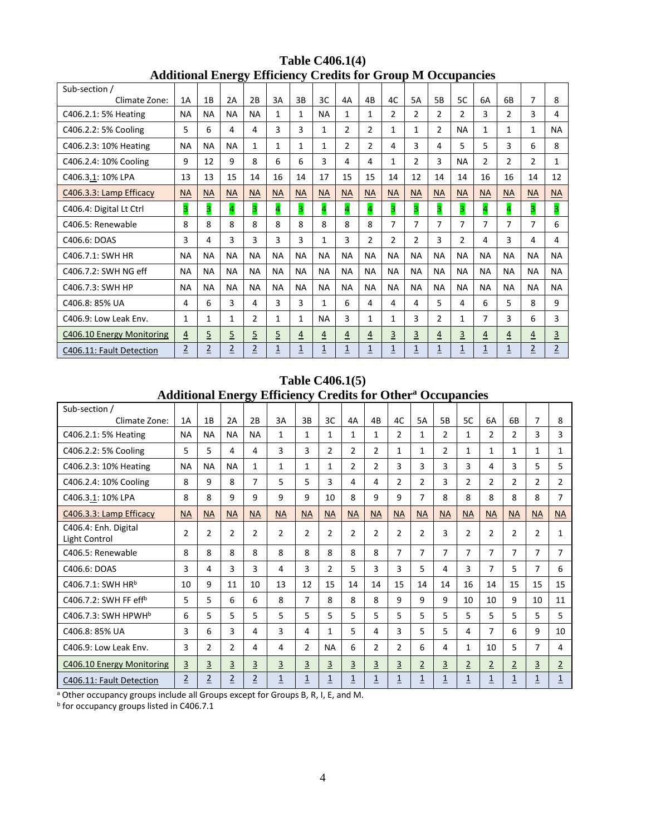| raunoma Energy Emercing Creativ for Group in Occupancies |                |                |                |                |                         |                |                |                         |                |                |                |                |                |                |                         |                |                |
|----------------------------------------------------------|----------------|----------------|----------------|----------------|-------------------------|----------------|----------------|-------------------------|----------------|----------------|----------------|----------------|----------------|----------------|-------------------------|----------------|----------------|
| Sub-section /                                            | 1A             |                | 2A             | 2B             | 3A                      | 3B             |                | 4A                      | 4B             |                |                | 5 <sub>B</sub> | 5C             |                | 6B                      | 7              |                |
| Climate Zone:                                            |                | 1B             |                |                |                         |                | 3C             |                         |                | 4C             | 5A             |                |                | 6A             |                         |                | 8              |
| C406.2.1: 5% Heating                                     | <b>NA</b>      | <b>NA</b>      | <b>NA</b>      | <b>NA</b>      | 1                       | 1              | <b>NA</b>      | 1                       | 1              | $\overline{2}$ | $\overline{2}$ | 2              | 2              | 3              | $\overline{2}$          | 3              | 4              |
| C406.2.2: 5% Cooling                                     | 5              | 6              | 4              | 4              | 3                       | 3              | 1              | $\overline{2}$          | 2              | 1              | 1              | $\overline{2}$ | <b>NA</b>      | 1              | 1                       | 1              | <b>NA</b>      |
| C406.2.3: 10% Heating                                    | <b>NA</b>      | <b>NA</b>      | <b>NA</b>      | $\mathbf{1}$   | 1                       | $\mathbf{1}$   | 1              | $\overline{2}$          | $\overline{2}$ | 4              | 3              | 4              | 5.             | 5              | 3                       | 6              | 8              |
| C406.2.4: 10% Cooling                                    | 9              | 12             | 9              | 8              | 6                       | 6              | 3              | 4                       | 4              | 1              | 2              | 3              | <b>NA</b>      | $\overline{2}$ | $\overline{2}$          | $\overline{2}$ | $\mathbf{1}$   |
| C406.3.1: 10% LPA                                        | 13             | 13             | 15             | 14             | 16                      | 14             | 17             | 15                      | 15             | 14             | 12             | 14             | 14             | 16             | 16                      | 14             | 12             |
| C406.3.3: Lamp Efficacy                                  | <b>NA</b>      | <b>NA</b>      | <b>NA</b>      | <b>NA</b>      | <b>NA</b>               | <b>NA</b>      | <b>NA</b>      | <b>NA</b>               | <b>NA</b>      | <b>NA</b>      | <b>NA</b>      | <b>NA</b>      | <b>NA</b>      | <b>NA</b>      | <b>NA</b>               | <b>NA</b>      | <b>NA</b>      |
| C406.4: Digital Lt Ctrl                                  | 3              | 3              | 4              | 3              | $\overline{\mathbf{r}}$ | 3              | 4              | $\overline{\mathbf{r}}$ | 4              | 3              | 3              | 3              | 3              | 4              | $\overline{\mathbf{r}}$ | 3              | 3              |
| C406.5: Renewable                                        | 8              | 8              | 8              | 8              | 8                       | 8              | 8              | 8                       | 8              | 7              | 7              | 7              | 7              | $\overline{7}$ | 7                       | 7              | 6              |
| C406.6: DOAS                                             | 3              | 4              | 3              | 3              | 3                       | 3              | 1              | 3                       | $\overline{2}$ | $\overline{2}$ | 2              | 3              | $\overline{2}$ | 4              | 3                       | 4              | 4              |
| C406.7.1: SWH HR                                         | <b>NA</b>      | <b>NA</b>      | <b>NA</b>      | <b>NA</b>      | <b>NA</b>               | <b>NA</b>      | <b>NA</b>      | <b>NA</b>               | <b>NA</b>      | <b>NA</b>      | <b>NA</b>      | <b>NA</b>      | <b>NA</b>      | <b>NA</b>      | <b>NA</b>               | <b>NA</b>      | <b>NA</b>      |
| C406.7.2: SWH NG eff                                     | <b>NA</b>      | <b>NA</b>      | <b>NA</b>      | <b>NA</b>      | <b>NA</b>               | <b>NA</b>      | <b>NA</b>      | <b>NA</b>               | <b>NA</b>      | <b>NA</b>      | <b>NA</b>      | <b>NA</b>      | <b>NA</b>      | <b>NA</b>      | <b>NA</b>               | <b>NA</b>      | <b>NA</b>      |
| C406.7.3: SWH HP                                         | <b>NA</b>      | <b>NA</b>      | <b>NA</b>      | <b>NA</b>      | <b>NA</b>               | <b>NA</b>      | <b>NA</b>      | <b>NA</b>               | <b>NA</b>      | <b>NA</b>      | <b>NA</b>      | <b>NA</b>      | <b>NA</b>      | <b>NA</b>      | <b>NA</b>               | <b>NA</b>      | <b>NA</b>      |
| C406.8: 85% UA                                           | 4              | 6              | 3              | 4              | 3                       | 3              | 1              | 6                       | 4              | 4              | 4              | 5              | 4              | 6              | 5                       | 8              | 9              |
| C406.9: Low Leak Env.                                    | $\mathbf{1}$   | $\mathbf 1$    | $\mathbf{1}$   | $\overline{2}$ | 1                       | 1              | <b>NA</b>      | 3                       | $\mathbf{1}$   | 1              | 3              | $\overline{2}$ | $\mathbf 1$    | $\overline{7}$ | 3                       | 6              | 3              |
| C406.10 Energy Monitoring                                | $\overline{4}$ | $\overline{5}$ | $\overline{5}$ | 5              | $\overline{5}$          | $\overline{4}$ | $\overline{4}$ | $\overline{4}$          | $\overline{4}$ | $\overline{3}$ | 3              | $\overline{4}$ | $\overline{3}$ | $\overline{4}$ | $\overline{4}$          | $\overline{4}$ | $\overline{3}$ |
| C406.11: Fault Detection                                 | $\overline{2}$ | $\overline{2}$ | $\overline{2}$ | $\overline{2}$ | $\overline{1}$          | $\overline{1}$ | $\overline{1}$ | $\overline{1}$          | $\overline{1}$ | $\overline{1}$ | $\overline{1}$ | $\overline{1}$ | $\overline{1}$ | $\overline{1}$ | $\overline{1}$          | $\overline{2}$ | $\overline{2}$ |

#### **Table C406.1(4) Additional Energy Efficiency Credits for Group M Occupancies**

**Table C406.1(5) Additional Energy Efficiency Credits for Othera Occupancies**

| Sub-section /                         |                |                |                |                |                |                |                |                |                |                |                |                |                |                |                |                |                |
|---------------------------------------|----------------|----------------|----------------|----------------|----------------|----------------|----------------|----------------|----------------|----------------|----------------|----------------|----------------|----------------|----------------|----------------|----------------|
| Climate Zone:                         | 1A             | 1B             | 2A             | 2B             | 3A             | 3B             | 3C             | 4A             | 4B             | 4C             | 5A             | 5B             | 5C             | 6A             | 6B             | $\overline{7}$ | 8              |
| C406.2.1: 5% Heating                  | <b>NA</b>      | <b>NA</b>      | <b>NA</b>      | <b>NA</b>      | 1              | $\mathbf{1}$   | 1              | $\mathbf{1}$   | 1              | $\overline{2}$ | 1              | 2              | 1              | $\overline{2}$ | $\overline{2}$ | 3              | 3              |
| C406.2.2: 5% Cooling                  | 5              | 5              | 4              | 4              | 3              | 3              | $\overline{2}$ | $\overline{2}$ | $\overline{2}$ | 1              | 1              | 2              | 1              | $\mathbf{1}$   | 1              | $\mathbf{1}$   | $\mathbf{1}$   |
| C406.2.3: 10% Heating                 | <b>NA</b>      | <b>NA</b>      | <b>NA</b>      | 1              | 1              | 1              | 1              | $\overline{2}$ | $\overline{2}$ | 3              | 3              | 3              | 3              | 4              | 3              | 5              | 5.             |
| C406.2.4: 10% Cooling                 | 8              | 9              | 8              | 7              | 5              | 5              | 3              | 4              | 4              | $\overline{2}$ | 2              | 3              | $\overline{2}$ | $\overline{2}$ | 2              | 2              | $\overline{2}$ |
| C406.3.1: 10% LPA                     | 8              | 8              | 9              | 9              | 9              | 9              | 10             | 8              | 9              | 9              | 7              | 8              | 8              | 8              | 8              | 8              | $\overline{7}$ |
| C406.3.3: Lamp Efficacy               | <b>NA</b>      | <b>NA</b>      | <b>NA</b>      | <b>NA</b>      | <b>NA</b>      | <b>NA</b>      | <b>NA</b>      | <b>NA</b>      | <b>NA</b>      | <b>NA</b>      | <b>NA</b>      | <b>NA</b>      | <b>NA</b>      | <b>NA</b>      | <b>NA</b>      | <b>NA</b>      | <b>NA</b>      |
| C406.4: Enh. Digital<br>Light Control | $\overline{2}$ | 2              | $\overline{2}$ | $\overline{2}$ | $\overline{2}$ | $\overline{2}$ | $\overline{2}$ | $\overline{2}$ | $\overline{2}$ | $\overline{2}$ | $\overline{2}$ | 3              | $\overline{2}$ | $\overline{2}$ | $\overline{2}$ | $\overline{2}$ | 1              |
| C406.5: Renewable                     | 8              | 8              | 8              | 8              | 8              | 8              | 8              | 8              | 8              | $\overline{7}$ | $\overline{7}$ | $\overline{7}$ | 7              | $\overline{7}$ | 7              | $\overline{7}$ | $\overline{7}$ |
| C406.6: DOAS                          | 3              | 4              | 3              | 3              | 4              | 3              | $\overline{2}$ | 5.             | 3              | 3              | 5.             | 4              | 3              | $\overline{7}$ | 5              | 7              | 6              |
| C406.7.1: SWH HR <sup>b</sup>         | 10             | 9              | 11             | 10             | 13             | 12             | 15             | 14             | 14             | 15             | 14             | 14             | 16             | 14             | 15             | 15             | 15             |
| C406.7.2: SWH FF effb                 | 5              | 5              | 6              | 6              | 8              | $\overline{7}$ | 8              | 8              | 8              | 9              | 9              | 9              | 10             | 10             | 9              | 10             | 11             |
| C406.7.3: SWH HPWHb                   | 6              | 5              | 5              | 5              | 5              | 5              | 5              | 5              | 5              | 5              | 5              | 5              | 5              | 5              | 5              | 5              | 5              |
| C406.8: 85% UA                        | 3              | 6              | 3              | 4              | 3              | 4              | 1              | 5              | 4              | 3              | 5              | 5              | 4              | 7              | 6              | 9              | 10             |
| C406.9: Low Leak Env.                 | 3              | $\overline{2}$ | 2              | 4              | 4              | $\overline{2}$ | <b>NA</b>      | 6              | $\overline{2}$ | $\overline{2}$ | 6              | 4              | 1              | 10             | 5              | 7              | 4              |
| C406.10 Energy Monitoring             | $\overline{3}$ | $\overline{3}$ | $\overline{3}$ | $\overline{3}$ | $\overline{3}$ | $\overline{3}$ | $\overline{3}$ | $\overline{3}$ | $\overline{3}$ | $\overline{3}$ | $\overline{2}$ | $\overline{3}$ | $\overline{2}$ | $\overline{2}$ | $\overline{2}$ | $\overline{3}$ | $\overline{2}$ |
| C406.11: Fault Detection              | $\overline{2}$ | $\overline{2}$ | $\overline{2}$ | $\overline{2}$ | $\overline{1}$ | $\overline{1}$ | $\overline{1}$ | $\overline{1}$ | $\overline{1}$ | $\overline{1}$ | $\overline{1}$ | $\overline{1}$ | $\overline{1}$ | 1              | $\overline{1}$ | $\overline{1}$ | $\overline{1}$ |

a Other occupancy groups include all Groups except for Groups B, R, I, E, and M.

b for occupancy groups listed in C406.7.1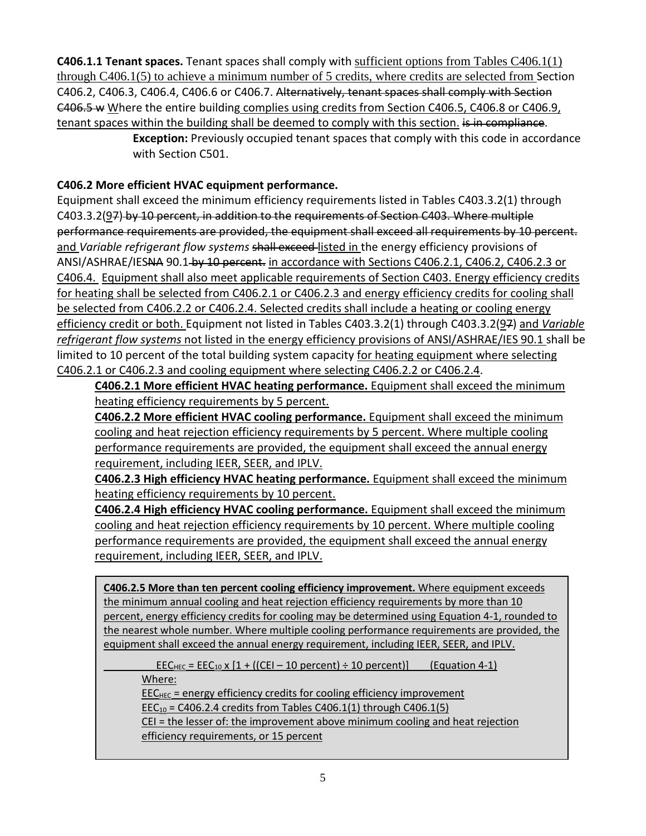**C406.1.1 Tenant spaces.** Tenant spaces shall comply with sufficient options from Tables C406.1(1) through C406.1(5) to achieve a minimum number of 5 credits, where credits are selected from Section C406.2, C406.3, C406.4, C406.6 or C406.7. Alternatively, tenant spaces shall comply with Section C406.5 w Where the entire building complies using credits from Section C406.5, C406.8 or C406.9, tenant spaces within the building shall be deemed to comply with this section. is in compliance.

**Exception:** Previously occupied tenant spaces that comply with this code in accordance with Section C501.

#### **C406.2 More efficient HVAC equipment performance.**

Equipment shall exceed the minimum efficiency requirements listed in Tables C403.3.2(1) through C403.3.2(97) by 10 percent, in addition to the requirements of Section C403. Where multiple performance requirements are provided, the equipment shall exceed all requirements by 10 percent. and *Variable refrigerant flow systems* shall exceed listed in the energy efficiency provisions of ANSI/ASHRAE/IESNA 90.1-by 10 percent. in accordance with Sections C406.2.1, C406.2, C406.2.3 or C406.4. Equipment shall also meet applicable requirements of Section C403. Energy efficiency credits for heating shall be selected from C406.2.1 or C406.2.3 and energy efficiency credits for cooling shall be selected from C406.2.2 or C406.2.4. Selected credits shall include a heating or cooling energy efficiency credit or both. Equipment not listed in Tables C403.3.2(1) through C403.3.2(97) and *Variable refrigerant flow systems* not listed in the energy efficiency provisions of ANSI/ASHRAE/IES 90.1 shall be limited to 10 percent of the total building system capacity for heating equipment where selecting C406.2.1 or C406.2.3 and cooling equipment where selecting C406.2.2 or C406.2.4.

**C406.2.1 More efficient HVAC heating performance.** Equipment shall exceed the minimum heating efficiency requirements by 5 percent.

**C406.2.2 More efficient HVAC cooling performance.** Equipment shall exceed the minimum cooling and heat rejection efficiency requirements by 5 percent. Where multiple cooling performance requirements are provided, the equipment shall exceed the annual energy requirement, including IEER, SEER, and IPLV.

**C406.2.3 High efficiency HVAC heating performance.** Equipment shall exceed the minimum heating efficiency requirements by 10 percent.

**C406.2.4 High efficiency HVAC cooling performance.** Equipment shall exceed the minimum cooling and heat rejection efficiency requirements by 10 percent. Where multiple cooling performance requirements are provided, the equipment shall exceed the annual energy requirement, including IEER, SEER, and IPLV.

**C406.2.5 More than ten percent cooling efficiency improvement.** Where equipment exceeds the minimum annual cooling and heat rejection efficiency requirements by more than 10 percent, energy efficiency credits for cooling may be determined using Equation 4-1, rounded to the nearest whole number. Where multiple cooling performance requirements are provided, the equipment shall exceed the annual energy requirement, including IEER, SEER, and IPLV.

 $\overline{EEC_{HEC}}$  =  $\overline{EEC_{10}}$  x [1 + ((CEI – 10 percent) ÷ 10 percent)] (Equation 4-1) Where:

 $EEC_{HEC}$  = energy efficiency credits for cooling efficiency improvement  $EEC_{10} = C406.2.4$  credits from Tables C406.1(1) through C406.1(5) CEI = the lesser of: the improvement above minimum cooling and heat rejection efficiency requirements, or 15 percent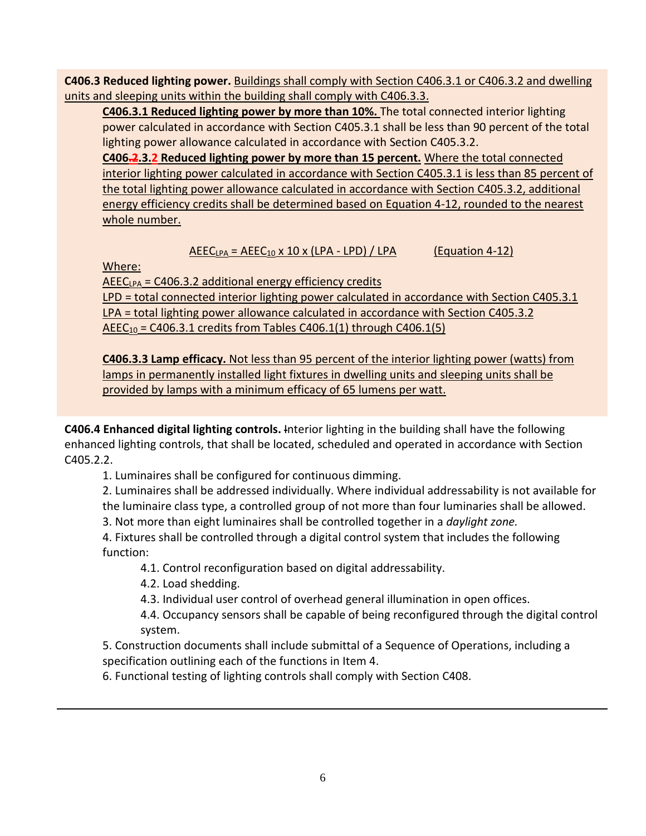**C406.3 Reduced lighting power.** Buildings shall comply with Section C406.3.1 or C406.3.2 and dwelling units and sleeping units within the building shall comply with C406.3.3.

**C406.3.1 Reduced lighting power by more than 10%.** The total connected interior lighting power calculated in accordance with Section C405.3.1 shall be less than 90 percent of the total lighting power allowance calculated in accordance with Section C405.3.2.

**C406.2.3.2 Reduced lighting power by more than 15 percent.** Where the total connected interior lighting power calculated in accordance with Section C405.3.1 is less than 85 percent of the total lighting power allowance calculated in accordance with Section C405.3.2, additional energy efficiency credits shall be determined based on Equation 4-12, rounded to the nearest whole number.

 $AEEC<sub>LPA</sub> = AEEC<sub>10</sub> × 10 × (LPA - LPD) / LPA$  (Equation 4-12)

Where:

 $AEEC<sub>LPA</sub> = C406.3.2$  additional energy efficiency credits

LPD = total connected interior lighting power calculated in accordance with Section C405.3.1 LPA = total lighting power allowance calculated in accordance with Section C405.3.2  $AEEC_{10} = C406.3.1$  credits from Tables C406.1(1) through C406.1(5)

**C406.3.3 Lamp efficacy.** Not less than 95 percent of the interior lighting power (watts) from lamps in permanently installed light fixtures in dwelling units and sleeping units shall be provided by lamps with a minimum efficacy of 65 lumens per watt.

**C406.4 Enhanced digital lighting controls.** Interior lighting in the building shall have the following enhanced lighting controls, that shall be located, scheduled and operated in accordance with Section C405.2.2.

1. Luminaires shall be configured for continuous dimming.

2. Luminaires shall be addressed individually. Where individual addressability is not available for the luminaire class type, a controlled group of not more than four luminaries shall be allowed.

3. Not more than eight luminaires shall be controlled together in a *daylight zone.*

4. Fixtures shall be controlled through a digital control system that includes the following function:

4.1. Control reconfiguration based on digital addressability.

4.2. Load shedding.

4.3. Individual user control of overhead general illumination in open offices.

4.4. Occupancy sensors shall be capable of being reconfigured through the digital control system.

5. Construction documents shall include submittal of a Sequence of Operations, including a specification outlining each of the functions in Item 4.

6. Functional testing of lighting controls shall comply with Section C408.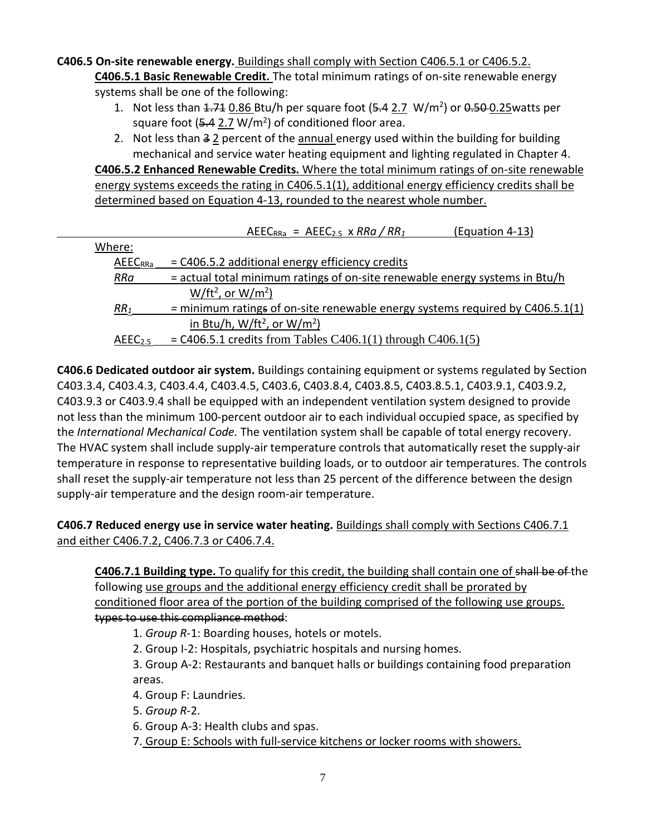#### **C406.5 On-site renewable energy.** Buildings shall comply with Section C406.5.1 or C406.5.2.

**C406.5.1 Basic Renewable Credit.** The total minimum ratings of on-site renewable energy systems shall be one of the following:

- 1. Not less than  $4.74$  0.86 Btu/h per square foot ( $5.4$  2.7 W/m<sup>2</sup>) or  $0.50$ -0.25 watts per square foot  $(5.4 2.7 W/m^2)$  of conditioned floor area.
- 2. Not less than  $32$  percent of the annual energy used within the building for building mechanical and service water heating equipment and lighting regulated in Chapter 4.

**C406.5.2 Enhanced Renewable Credits.** Where the total minimum ratings of on-site renewable energy systems exceeds the rating in C406.5.1(1), additional energy efficiency credits shall be determined based on Equation 4-13, rounded to the nearest whole number.

|                     | $AEEC_{RRa} = AEEC_{2.5} \times RRa / RR1$<br>(Equation 4-13)                   |
|---------------------|---------------------------------------------------------------------------------|
| Where:              |                                                                                 |
| <b>AEECRRa</b>      | $=$ C406.5.2 additional energy efficiency credits                               |
| RRa                 | = actual total minimum ratings of on-site renewable energy systems in Btu/h     |
|                     | $W/ft^2$ , or $W/m^2$ )                                                         |
| RR <sub>1</sub>     | $=$ minimum ratings of on-site renewable energy systems required by C406.5.1(1) |
|                     | in Btu/h, $W/ft^2$ , or $W/m^2$ )                                               |
| AEEC <sub>2.5</sub> | $=$ C406.5.1 credits from Tables C406.1(1) through C406.1(5)                    |

**C406.6 Dedicated outdoor air system.** Buildings containing equipment or systems regulated by Section C403.3.4, C403.4.3, C403.4.4, C403.4.5, C403.6, C403.8.4, C403.8.5, C403.8.5.1, C403.9.1, C403.9.2, C403.9.3 or C403.9.4 shall be equipped with an independent ventilation system designed to provide not less than the minimum 100-percent outdoor air to each individual occupied space, as specified by the *International Mechanical Code.* The ventilation system shall be capable of total energy recovery. The HVAC system shall include supply-air temperature controls that automatically reset the supply-air temperature in response to representative building loads, or to outdoor air temperatures. The controls shall reset the supply-air temperature not less than 25 percent of the difference between the design supply-air temperature and the design room-air temperature.

#### **C406.7 Reduced energy use in service water heating.** Buildings shall comply with Sections C406.7.1 and either C406.7.2, C406.7.3 or C406.7.4.

**C406.7.1 Building type.** To qualify for this credit, the building shall contain one of shall be of the following use groups and the additional energy efficiency credit shall be prorated by conditioned floor area of the portion of the building comprised of the following use groups. types to use this compliance method:

1. *Group R*-1: Boarding houses, hotels or motels.

2. Group I-2: Hospitals, psychiatric hospitals and nursing homes.

3. Group A-2: Restaurants and banquet halls or buildings containing food preparation areas.

4. Group F: Laundries.

5. *Group R*-2.

6. Group A-3: Health clubs and spas.

7. Group E: Schools with full-service kitchens or locker rooms with showers.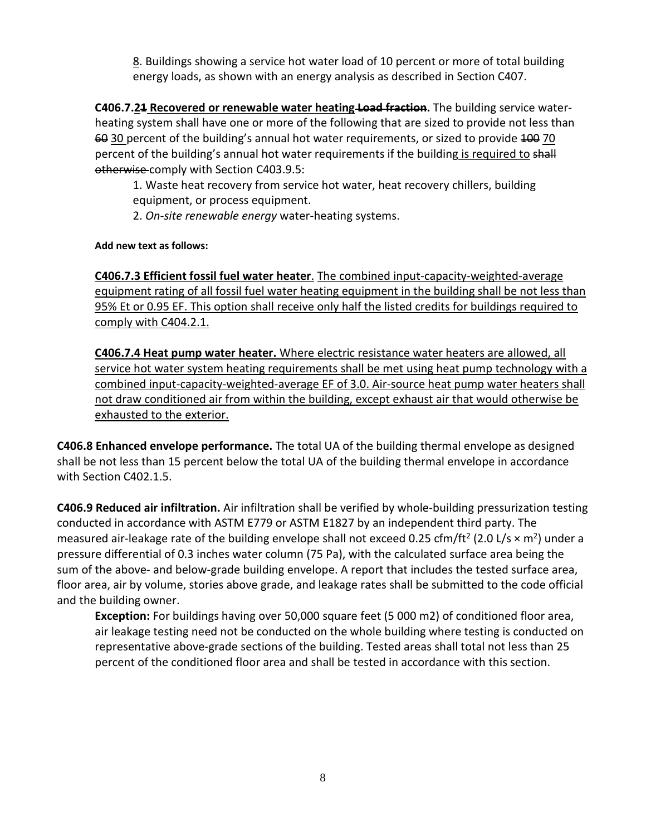8. Buildings showing a service hot water load of 10 percent or more of total building energy loads, as shown with an energy analysis as described in Section C407.

**C406.7.21 Recovered or renewable water heating Load fraction.** The building service waterheating system shall have one or more of the following that are sized to provide not less than 60 30 percent of the building's annual hot water requirements, or sized to provide 400 70 percent of the building's annual hot water requirements if the building is required to shall otherwise comply with Section C403.9.5:

1. Waste heat recovery from service hot water, heat recovery chillers, building equipment, or process equipment.

2. *On-site renewable energy* water-heating systems.

**Add new text as follows:**

**C406.7.3 Efficient fossil fuel water heater**. The combined input-capacity-weighted-average equipment rating of all fossil fuel water heating equipment in the building shall be not less than 95% Et or 0.95 EF. This option shall receive only half the listed credits for buildings required to comply with C404.2.1.

**C406.7.4 Heat pump water heater.** Where electric resistance water heaters are allowed, all service hot water system heating requirements shall be met using heat pump technology with a combined input-capacity-weighted-average EF of 3.0. Air-source heat pump water heaters shall not draw conditioned air from within the building, except exhaust air that would otherwise be exhausted to the exterior.

**C406.8 Enhanced envelope performance.** The total UA of the building thermal envelope as designed shall be not less than 15 percent below the total UA of the building thermal envelope in accordance with Section C402.1.5.

**C406.9 Reduced air infiltration.** Air infiltration shall be verified by whole-building pressurization testing conducted in accordance with ASTM E779 or ASTM E1827 by an independent third party. The measured air-leakage rate of the building envelope shall not exceed 0.25 cfm/ft<sup>2</sup> (2.0 L/s  $\times$  m<sup>2</sup>) under a pressure differential of 0.3 inches water column (75 Pa), with the calculated surface area being the sum of the above- and below-grade building envelope. A report that includes the tested surface area, floor area, air by volume, stories above grade, and leakage rates shall be submitted to the code official and the building owner.

**Exception:** For buildings having over 50,000 square feet (5 000 m2) of conditioned floor area, air leakage testing need not be conducted on the whole building where testing is conducted on representative above-grade sections of the building. Tested areas shall total not less than 25 percent of the conditioned floor area and shall be tested in accordance with this section.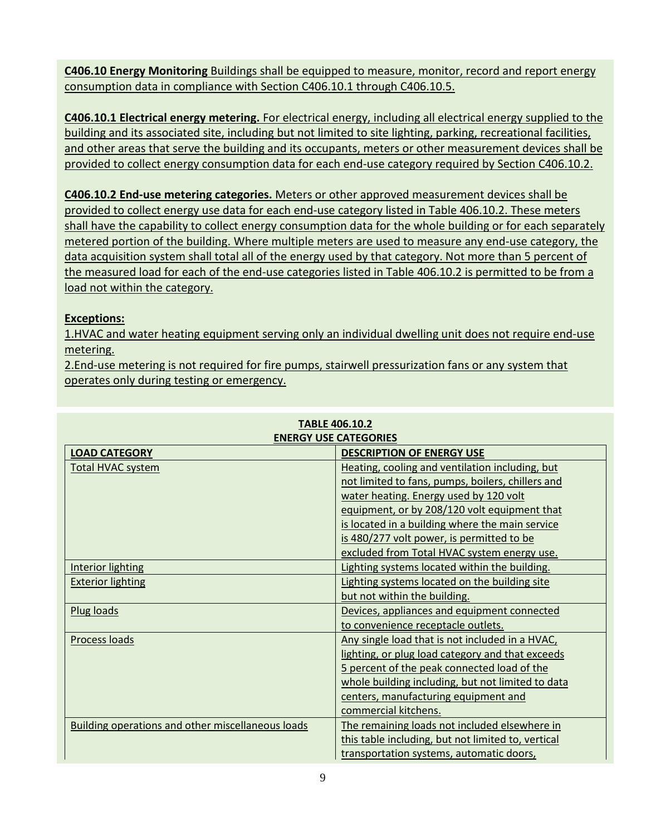**C406.10 Energy Monitoring** Buildings shall be equipped to measure, monitor, record and report energy consumption data in compliance with Section C406.10.1 through C406.10.5.

**C406.10.1 Electrical energy metering.** For electrical energy, including all electrical energy supplied to the building and its associated site, including but not limited to site lighting, parking, recreational facilities, and other areas that serve the building and its occupants, meters or other measurement devices shall be provided to collect energy consumption data for each end-use category required by Section C406.10.2.

**C406.10.2 End-use metering categories.** Meters or other approved measurement devices shall be provided to collect energy use data for each end-use category listed in Table 406.10.2. These meters shall have the capability to collect energy consumption data for the whole building or for each separately metered portion of the building. Where multiple meters are used to measure any end-use category, the data acquisition system shall total all of the energy used by that category. Not more than 5 percent of the measured load for each of the end-use categories listed in Table 406.10.2 is permitted to be from a load not within the category.

#### **Exceptions:**

1.HVAC and water heating equipment serving only an individual dwelling unit does not require end-use metering.

2.End-use metering is not required for fire pumps, stairwell pressurization fans or any system that operates only during testing or emergency.

| <b>ENERGY USE CATEGORIES</b>                             |                                                    |  |  |  |  |  |  |  |
|----------------------------------------------------------|----------------------------------------------------|--|--|--|--|--|--|--|
| <b>LOAD CATEGORY</b>                                     | <b>DESCRIPTION OF ENERGY USE</b>                   |  |  |  |  |  |  |  |
| Total HVAC system                                        | Heating, cooling and ventilation including, but    |  |  |  |  |  |  |  |
|                                                          | not limited to fans, pumps, boilers, chillers and  |  |  |  |  |  |  |  |
|                                                          | water heating. Energy used by 120 volt             |  |  |  |  |  |  |  |
|                                                          | equipment, or by 208/120 volt equipment that       |  |  |  |  |  |  |  |
|                                                          | is located in a building where the main service    |  |  |  |  |  |  |  |
|                                                          | is 480/277 volt power, is permitted to be          |  |  |  |  |  |  |  |
|                                                          | excluded from Total HVAC system energy use.        |  |  |  |  |  |  |  |
| <b>Interior lighting</b>                                 | Lighting systems located within the building.      |  |  |  |  |  |  |  |
| <b>Exterior lighting</b>                                 | Lighting systems located on the building site      |  |  |  |  |  |  |  |
|                                                          | but not within the building.                       |  |  |  |  |  |  |  |
| Plug loads                                               | Devices, appliances and equipment connected        |  |  |  |  |  |  |  |
|                                                          | to convenience receptacle outlets.                 |  |  |  |  |  |  |  |
| Process loads                                            | Any single load that is not included in a HVAC,    |  |  |  |  |  |  |  |
|                                                          | lighting, or plug load category and that exceeds   |  |  |  |  |  |  |  |
|                                                          | 5 percent of the peak connected load of the        |  |  |  |  |  |  |  |
|                                                          | whole building including, but not limited to data  |  |  |  |  |  |  |  |
|                                                          | centers, manufacturing equipment and               |  |  |  |  |  |  |  |
|                                                          | commercial kitchens.                               |  |  |  |  |  |  |  |
| <b>Building operations and other miscellaneous loads</b> | The remaining loads not included elsewhere in      |  |  |  |  |  |  |  |
|                                                          | this table including, but not limited to, vertical |  |  |  |  |  |  |  |
|                                                          | transportation systems, automatic doors,           |  |  |  |  |  |  |  |

## **TABLE 406.10.2**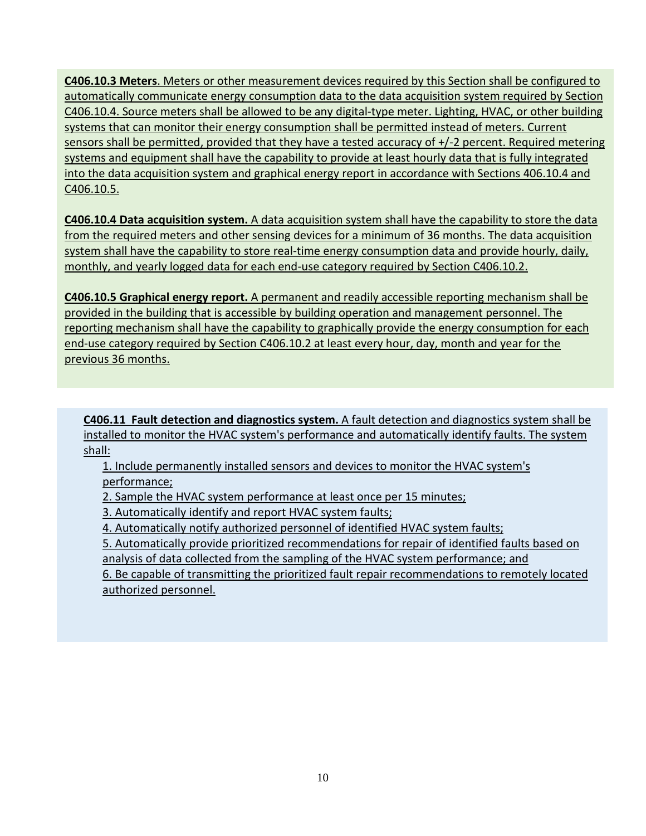**C406.10.3 Meters**. Meters or other measurement devices required by this Section shall be configured to automatically communicate energy consumption data to the data acquisition system required by Section C406.10.4. Source meters shall be allowed to be any digital-type meter. Lighting, HVAC, or other building systems that can monitor their energy consumption shall be permitted instead of meters. Current sensors shall be permitted, provided that they have a tested accuracy of +/-2 percent. Required metering systems and equipment shall have the capability to provide at least hourly data that is fully integrated into the data acquisition system and graphical energy report in accordance with Sections 406.10.4 and C406.10.5.

**C406.10.4 Data acquisition system.** A data acquisition system shall have the capability to store the data from the required meters and other sensing devices for a minimum of 36 months. The data acquisition system shall have the capability to store real-time energy consumption data and provide hourly, daily, monthly, and yearly logged data for each end-use category required by Section C406.10.2.

**C406.10.5 Graphical energy report.** A permanent and readily accessible reporting mechanism shall be provided in the building that is accessible by building operation and management personnel. The reporting mechanism shall have the capability to graphically provide the energy consumption for each end-use category required by Section C406.10.2 at least every hour, day, month and year for the previous 36 months.

**C406.11 Fault detection and diagnostics system.** A fault detection and diagnostics system shall be installed to monitor the HVAC system's performance and automatically identify faults. The system shall:

1. Include permanently installed sensors and devices to monitor the HVAC system's performance;

2. Sample the HVAC system performance at least once per 15 minutes;

3. Automatically identify and report HVAC system faults;

4. Automatically notify authorized personnel of identified HVAC system faults;

5. Automatically provide prioritized recommendations for repair of identified faults based on

analysis of data collected from the sampling of the HVAC system performance; and

6. Be capable of transmitting the prioritized fault repair recommendations to remotely located authorized personnel.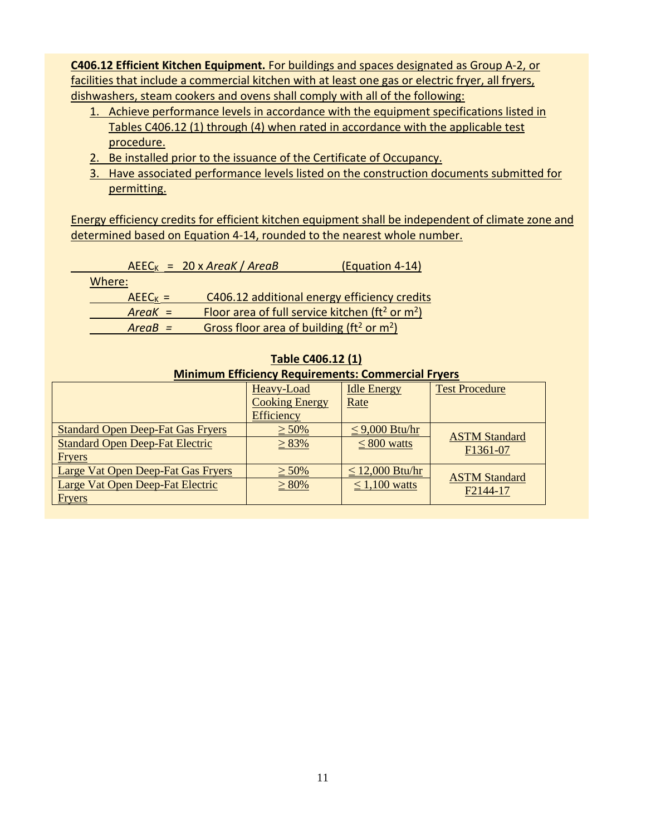**C406.12 Efficient Kitchen Equipment.** For buildings and spaces designated as Group A-2, or facilities that include a commercial kitchen with at least one gas or electric fryer, all fryers, dishwashers, steam cookers and ovens shall comply with all of the following:

- 1. Achieve performance levels in accordance with the equipment specifications listed in Tables C406.12 (1) through (4) when rated in accordance with the applicable test procedure.
- 2. Be installed prior to the issuance of the Certificate of Occupancy.
- 3. Have associated performance levels listed on the construction documents submitted for permitting.

Energy efficiency credits for efficient kitchen equipment shall be independent of climate zone and determined based on Equation 4-14, rounded to the nearest whole number.

|           | $AEEC_K = 20 \times AreaK / AreaB$                             | (Equation 4-14)                                                        |
|-----------|----------------------------------------------------------------|------------------------------------------------------------------------|
| Where:    |                                                                |                                                                        |
| $AEECK =$ |                                                                | C406.12 additional energy efficiency credits                           |
| $AreaK =$ |                                                                | Floor area of full service kitchen ( $\text{ft}^2$ or m <sup>2</sup> ) |
| $AreaB =$ | Gross floor area of building ( $\text{ft}^2$ or $\text{m}^2$ ) |                                                                        |

| <b>Minimum Efficiency Requirements: Commercial Fryers</b> |                       |                      |                       |  |  |  |  |  |  |  |  |
|-----------------------------------------------------------|-----------------------|----------------------|-----------------------|--|--|--|--|--|--|--|--|
|                                                           | Heavy-Load            | <b>Idle Energy</b>   | <b>Test Procedure</b> |  |  |  |  |  |  |  |  |
|                                                           | <b>Cooking Energy</b> | Rate                 |                       |  |  |  |  |  |  |  |  |
|                                                           | <b>Efficiency</b>     |                      |                       |  |  |  |  |  |  |  |  |
| <b>Standard Open Deep-Fat Gas Fryers</b>                  | $\geq 50\%$           | $\leq$ 9,000 Btu/hr  | <b>ASTM Standard</b>  |  |  |  |  |  |  |  |  |
| <b>Standard Open Deep-Fat Electric</b>                    | $\geq 83\%$           | $\leq 800$ watts     | F1361-07              |  |  |  |  |  |  |  |  |
| <b>Fryers</b>                                             |                       |                      |                       |  |  |  |  |  |  |  |  |
| Large Vat Open Deep-Fat Gas Fryers                        | $\geq 50\%$           | $\leq$ 12,000 Btu/hr | <b>ASTM Standard</b>  |  |  |  |  |  |  |  |  |
| Large Vat Open Deep-Fat Electric                          | $\geq 80\%$           | $\leq 1,100$ watts   | F2144-17              |  |  |  |  |  |  |  |  |
| <b>Fryers</b>                                             |                       |                      |                       |  |  |  |  |  |  |  |  |

#### **Table C406.12 (1)**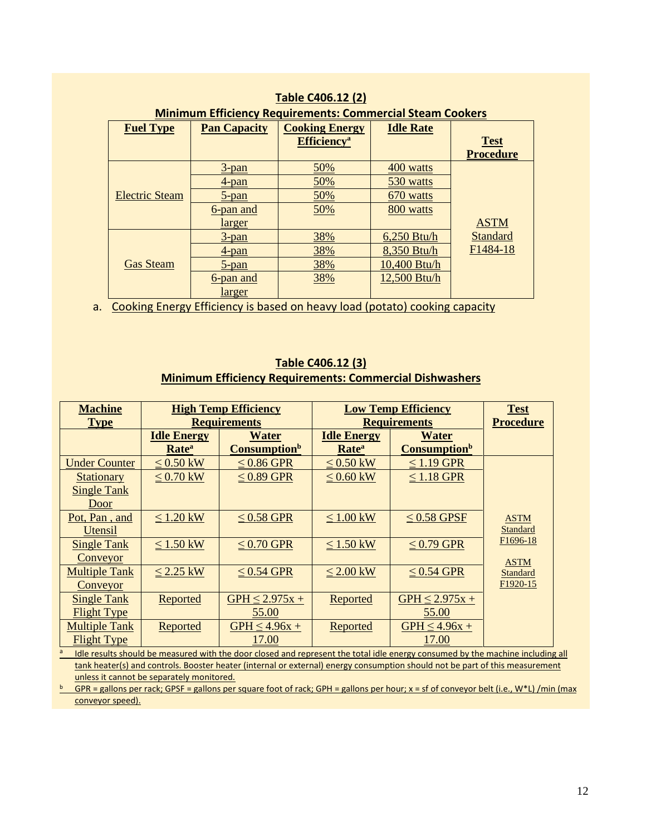| <b>Table C406.12 (2)</b>                                         |                     |                                |              |                       |  |  |  |  |  |  |  |  |
|------------------------------------------------------------------|---------------------|--------------------------------|--------------|-----------------------|--|--|--|--|--|--|--|--|
| <b>Minimum Efficiency Requirements: Commercial Steam Cookers</b> |                     |                                |              |                       |  |  |  |  |  |  |  |  |
| <b>Fuel Type</b>                                                 | <b>Pan Capacity</b> |                                |              |                       |  |  |  |  |  |  |  |  |
|                                                                  |                     | <b>Efficiency</b> <sup>a</sup> |              | <b>Test</b>           |  |  |  |  |  |  |  |  |
|                                                                  |                     |                                |              | <b>Procedure</b>      |  |  |  |  |  |  |  |  |
|                                                                  | $3$ -pan            | 50%                            | 400 watts    |                       |  |  |  |  |  |  |  |  |
| Electric Steam<br><b>Gas Steam</b>                               | 4-pan               | 50%                            | 530 watts    |                       |  |  |  |  |  |  |  |  |
|                                                                  | $5$ -pan            | 50%                            | 670 watts    |                       |  |  |  |  |  |  |  |  |
|                                                                  | 6-pan and           | 50%                            | 800 watts    |                       |  |  |  |  |  |  |  |  |
|                                                                  | larger              |                                |              | <b>ASTM</b>           |  |  |  |  |  |  |  |  |
|                                                                  | $3$ -pan            | 38%                            | 6,250 Btu/h  | Standard              |  |  |  |  |  |  |  |  |
|                                                                  | 4-pan               | 38%                            | 8,350 Btu/h  | F <sub>1484</sub> -18 |  |  |  |  |  |  |  |  |
|                                                                  | 5-pan               | 38%                            | 10,400 Btu/h |                       |  |  |  |  |  |  |  |  |
|                                                                  | 6-pan and           | 38%                            | 12,500 Btu/h |                       |  |  |  |  |  |  |  |  |
|                                                                  | larger              |                                |              |                       |  |  |  |  |  |  |  |  |

#### **Table C406.12 (2)**

a. Cooking Energy Efficiency is based on heavy load (potato) cooking capacity

#### **Table C406.12 (3) Minimum Efficiency Requirements: Commercial Dishwashers**

| <b>Machine</b><br><b>Type</b> |                                         | <b>High Temp Efficiency</b><br><b>Requirements</b> |                                         | <b>Low Temp Efficiency</b><br><b>Requirements</b> | <b>Test</b><br><b>Procedure</b> |
|-------------------------------|-----------------------------------------|----------------------------------------------------|-----------------------------------------|---------------------------------------------------|---------------------------------|
|                               | <b>Idle Energy</b><br>Rate <sup>a</sup> | <b>Water</b><br><b>Consumption</b> <sup>b</sup>    | <b>Idle Energy</b><br>Rate <sup>a</sup> | <b>Water</b><br><b>Consumption</b> b              |                                 |
| <b>Under Counter</b>          | $\leq$ 0.50 kW                          | $\leq$ 0.86 GPR                                    | $\leq 0.50$ kW                          | $\leq$ 1.19 GPR                                   |                                 |
| <b>Stationary</b>             | $\leq 0.70$ kW                          | $\leq$ 0.89 GPR                                    | $\leq 0.60$ kW                          | $\leq$ 1.18 GPR                                   |                                 |
| <b>Single Tank</b>            |                                         |                                                    |                                         |                                                   |                                 |
| Door                          |                                         |                                                    |                                         |                                                   |                                 |
| Pot, Pan, and                 | $\leq 1.20$ kW                          | $\leq$ 0.58 GPR                                    | $\leq 1.00$ kW                          | $\leq$ 0.58 GPSF                                  | <b>ASTM</b>                     |
| Utensil                       |                                         |                                                    |                                         |                                                   | Standard                        |
| <b>Single Tank</b>            | $\leq$ 1.50 kW                          | $\leq$ 0.70 GPR                                    | $\leq 1.50$ kW                          | $\leq$ 0.79 GPR                                   | F <sub>1696</sub> -18           |
| Conveyor                      |                                         |                                                    |                                         |                                                   | <b>ASTM</b>                     |
| <b>Multiple Tank</b>          | $\leq$ 2.25 kW                          | $\leq$ 0.54 GPR                                    | $\leq$ 2.00 kW                          | $\leq$ 0.54 GPR                                   | Standard                        |
| Conveyor                      |                                         |                                                    |                                         |                                                   | F <sub>1920</sub> -15           |
| <b>Single Tank</b>            | <b>Reported</b>                         | GPH $\leq$ 2.975x +                                | <b>Reported</b>                         | GPH $\leq$ 2.975x +                               |                                 |
| <b>Flight Type</b>            |                                         | 55.00                                              |                                         | 55.00                                             |                                 |
| <b>Multiple Tank</b>          | <b>Reported</b>                         | $GPH \leq 4.96x +$                                 | <b>Reported</b>                         | $GPH \leq 4.96x +$                                |                                 |
| <b>Flight Type</b>            |                                         | 17.00                                              |                                         | 17.00                                             |                                 |

<sup>a</sup> Idle results should be measured with the door closed and represent the total idle energy consumed by the machine including all tank heater(s) and controls. Booster heater (internal or external) energy consumption should not be part of this measurement unless it cannot be separately monitored.

GPR = gallons per rack; GPSF = gallons per square foot of rack; GPH = gallons per hour;  $x = sf$  of conveyor belt (i.e., W<sup>\*</sup>L) /min (max conveyor speed).